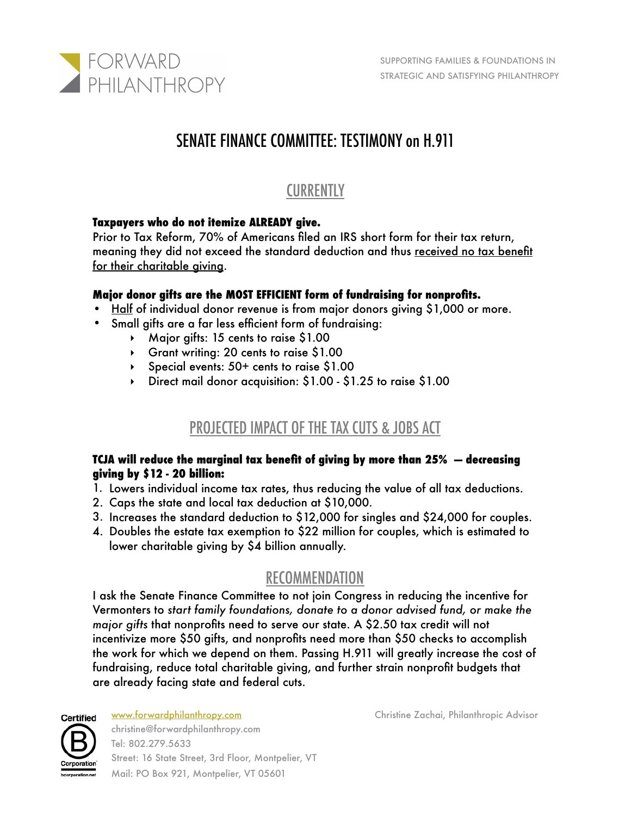

# SENATE FINANCE COMMITTEE: TESTIMONY on H.911

## **CURRENTLY**

### **Taxpayers who do not itemize ALREADY give.**

Prior to Tax Reform, 70% of Americans filed an IRS short form for their tax return, meaning they did not exceed the standard deduction and thus received no tax benefit for their charitable giving.

### **Major donor gifts are the MOST EFFICIENT form of fundraising for nonprofits.**

- Half of individual donor revenue is from major donors giving \$1,000 or more.
- Small gifts are a far less efficient form of fundraising:
	- ‣ Major gifts: 15 cents to raise \$1.00
	- ‣ Grant writing: 20 cents to raise \$1.00
	- ‣ Special events: 50+ cents to raise \$1.00
	- ‣ Direct mail donor acquisition: \$1.00 \$1.25 to raise \$1.00

### PROJECTED IMPACT OF THE TAX CUTS & JOBS ACT

#### **TCJA will reduce the marginal tax benefit of giving by more than 25% — decreasing giving by \$12 - 20 billion:**

- 1. Lowers individual income tax rates, thus reducing the value of all tax deductions.
- 2. Caps the state and local tax deduction at \$10,000.
- 3. Increases the standard deduction to \$12,000 for singles and \$24,000 for couples.
- 4. Doubles the estate tax exemption to \$22 million for couples, which is estimated to lower charitable giving by \$4 billion annually.

### RECOMMENDATION

I ask the Senate Finance Committee to not join Congress in reducing the incentive for Vermonters to *start family foundations, donate to a donor advised fund, or make the major gifts* that nonprofits need to serve our state. A \$2.50 tax credit will not incentivize more \$50 gifts, and nonprofits need more than \$50 checks to accomplish the work for which we depend on them. Passing H.911 will greatly increase the cost of fundraising, reduce total charitable giving, and further strain nonprofit budgets that are already facing state and federal cuts.



christine@forwardphilanthropy.com

Tel: 802.279.5633 Street: 16 State Street, 3rd Floor, Montpelier, VT Mail: PO Box 921, Montpelier, VT 05601 

[www.forwardphilanthropy.com](http://www.forwardphilanthropy.com) Christine Zachai, Philanthropic Advisor